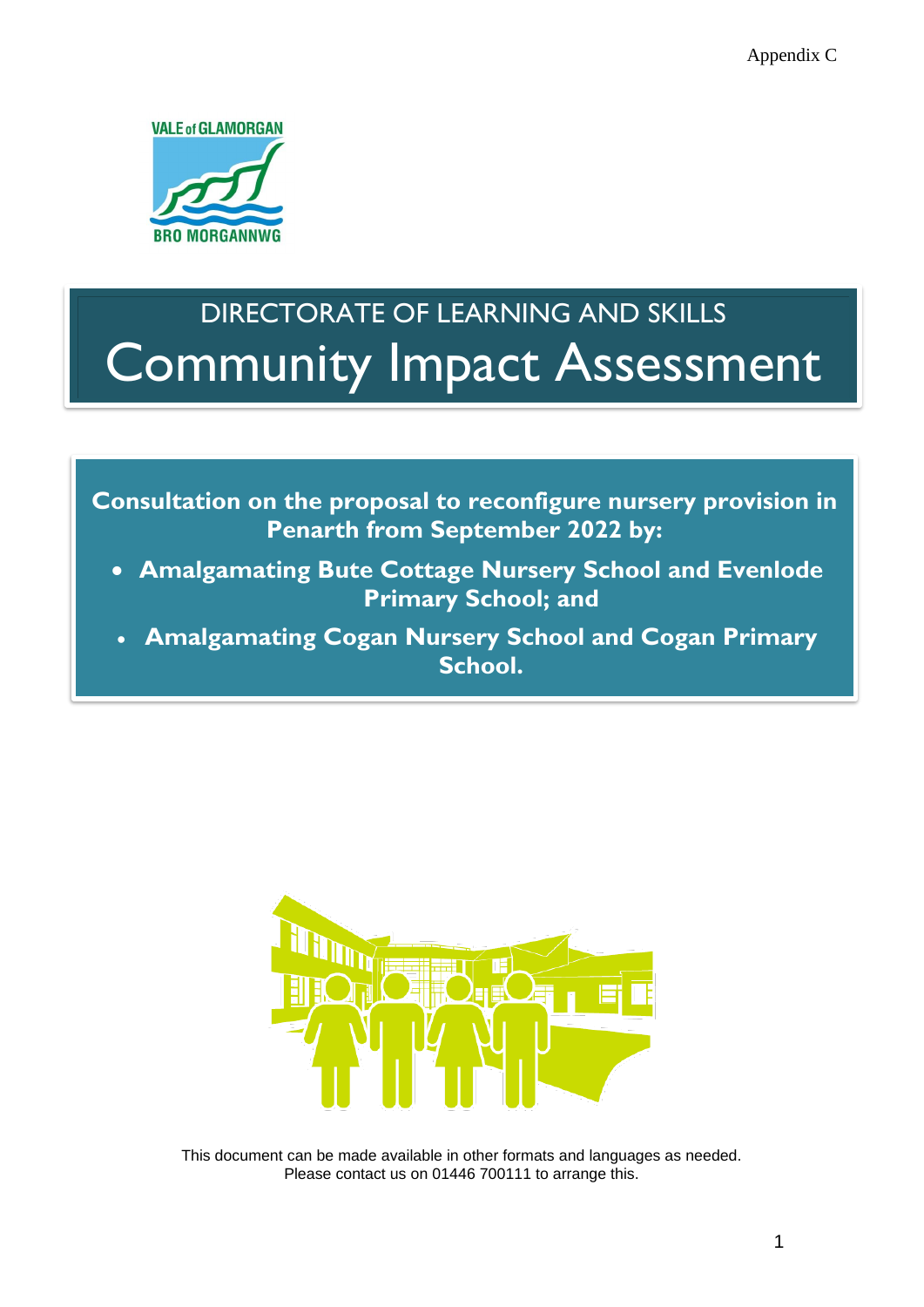

# DIRECTORATE OF LEARNING AND SKILLS Community Impact Assessment

**Consultation on the proposal to reconfigure nursery provision in Penarth from September 2022 by:** 

- **Amalgamating Bute Cottage Nursery School and Evenlode Primary School; and**
- **Amalgamating Cogan Nursery School and Cogan Primary School.**



This document can be made available in other formats and languages as needed. Please contact us on 01446 700111 to arrange this.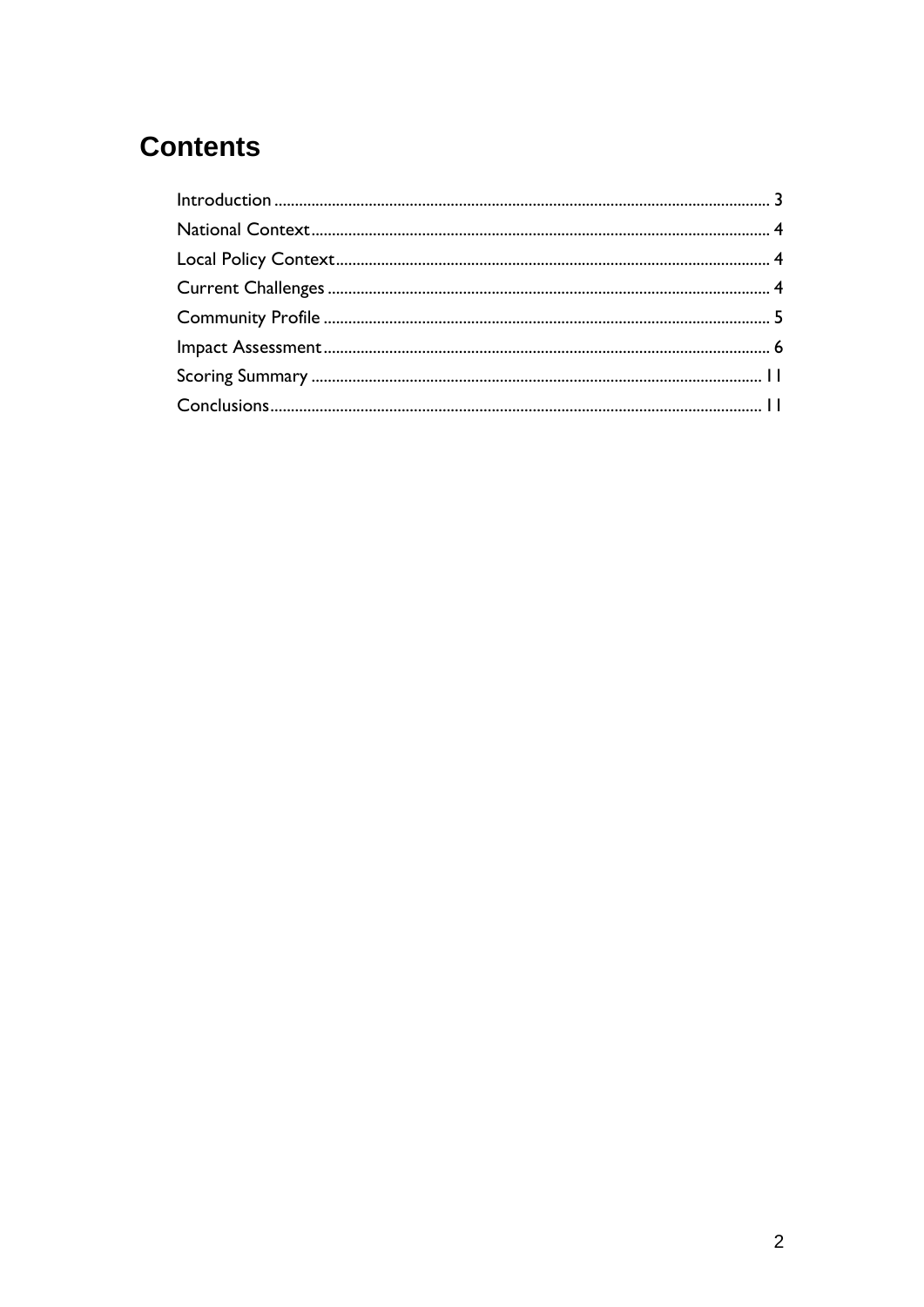# **Contents**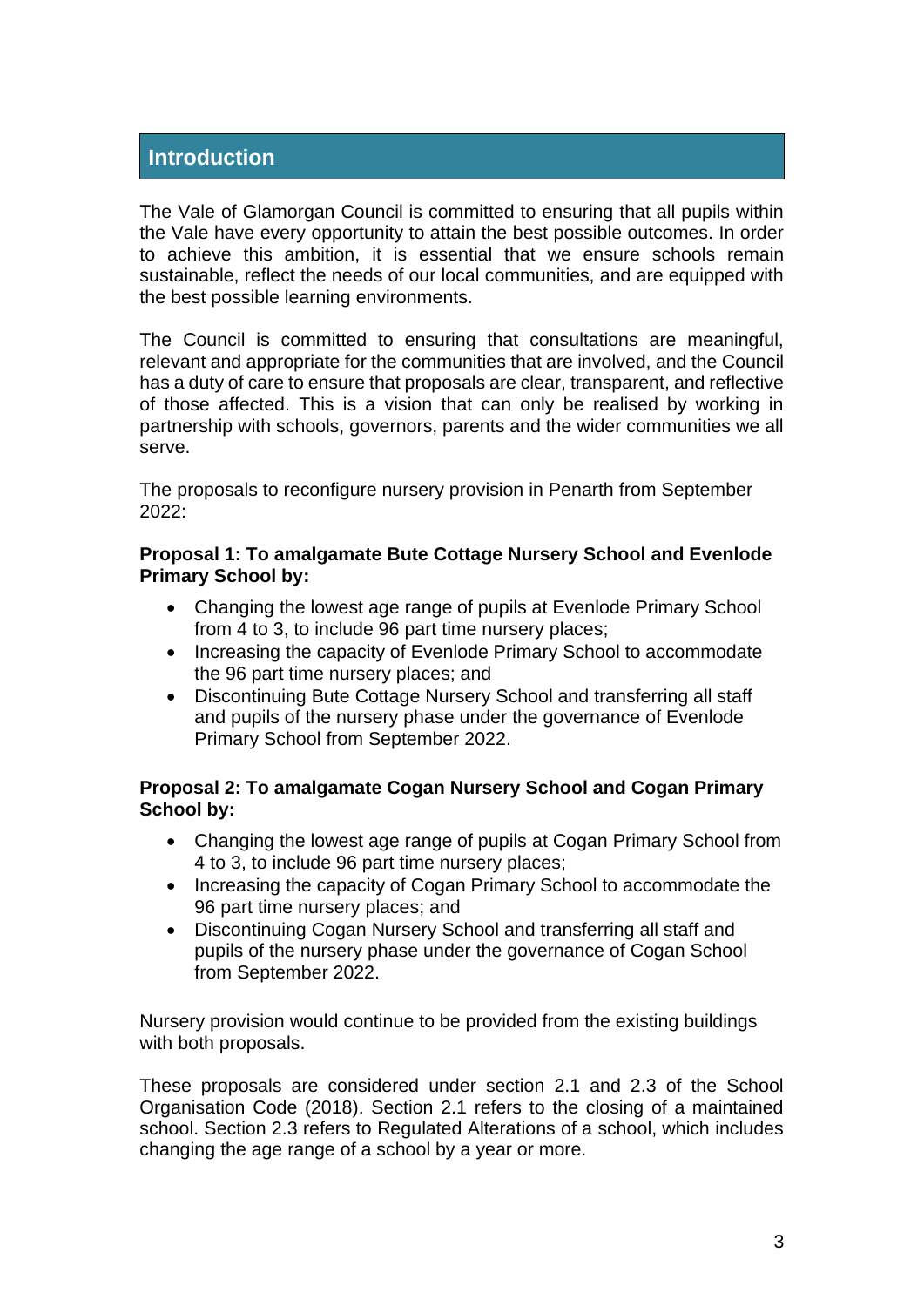#### <span id="page-2-0"></span>**Introduction**

The Vale of Glamorgan Council is committed to ensuring that all pupils within the Vale have every opportunity to attain the best possible outcomes. In order to achieve this ambition, it is essential that we ensure schools remain sustainable, reflect the needs of our local communities, and are equipped with the best possible learning environments.

The Council is committed to ensuring that consultations are meaningful, relevant and appropriate for the communities that are involved, and the Council has a duty of care to ensure that proposals are clear, transparent, and reflective of those affected. This is a vision that can only be realised by working in partnership with schools, governors, parents and the wider communities we all serve.

The proposals to reconfigure nursery provision in Penarth from September  $2022:$ 

#### **Proposal 1: To amalgamate Bute Cottage Nursery School and Evenlode Primary School by:**

- Changing the lowest age range of pupils at Evenlode Primary School from 4 to 3, to include 96 part time nursery places;
- Increasing the capacity of Evenlode Primary School to accommodate the 96 part time nursery places; and
- Discontinuing Bute Cottage Nursery School and transferring all staff and pupils of the nursery phase under the governance of Evenlode Primary School from September 2022.

#### **Proposal 2: To amalgamate Cogan Nursery School and Cogan Primary School by:**

- Changing the lowest age range of pupils at Cogan Primary School from 4 to 3, to include 96 part time nursery places;
- Increasing the capacity of Cogan Primary School to accommodate the 96 part time nursery places; and
- Discontinuing Cogan Nursery School and transferring all staff and pupils of the nursery phase under the governance of Cogan School from September 2022.

Nursery provision would continue to be provided from the existing buildings with both proposals.

These proposals are considered under section 2.1 and 2.3 of the School Organisation Code (2018). Section 2.1 refers to the closing of a maintained school. Section 2.3 refers to Regulated Alterations of a school, which includes changing the age range of a school by a year or more.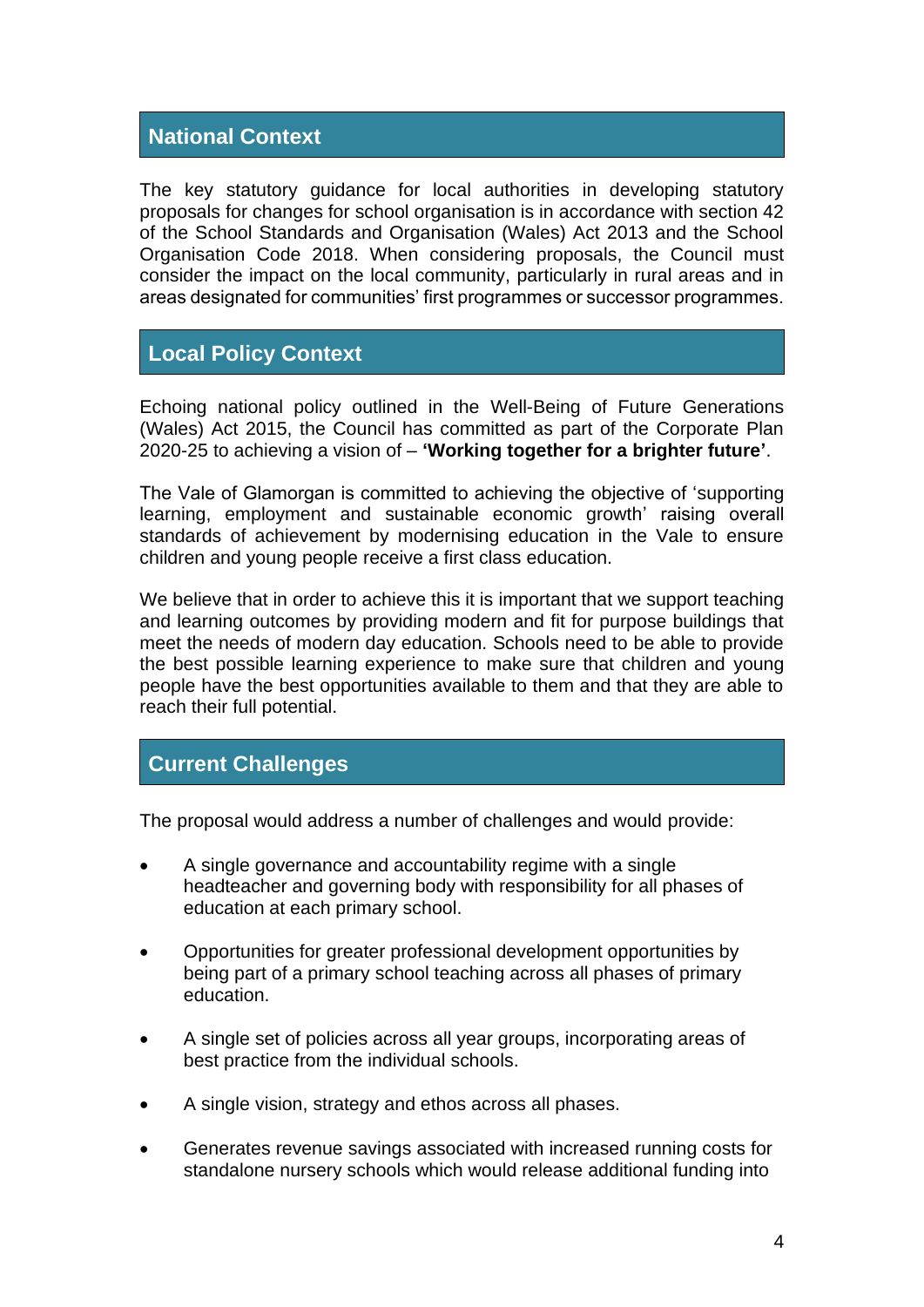#### <span id="page-3-0"></span>**National Context**

The key statutory guidance for local authorities in developing statutory proposals for changes for school organisation is in accordance with section 42 of the School Standards and Organisation (Wales) Act 2013 and the School Organisation Code 2018. When considering proposals, the Council must consider the impact on the local community, particularly in rural areas and in areas designated for communities' first programmes or successor programmes.

#### <span id="page-3-1"></span>**Local Policy Context**

Echoing national policy outlined in the Well-Being of Future Generations (Wales) Act 2015, the Council has committed as part of the Corporate Plan 2020-25 to achieving a vision of – **'Working together for a brighter future'**.

The Vale of Glamorgan is committed to achieving the objective of 'supporting learning, employment and sustainable economic growth' raising overall standards of achievement by modernising education in the Vale to ensure children and young people receive a first class education.

We believe that in order to achieve this it is important that we support teaching and learning outcomes by providing modern and fit for purpose buildings that meet the needs of modern day education. Schools need to be able to provide the best possible learning experience to make sure that children and young people have the best opportunities available to them and that they are able to reach their full potential.

#### <span id="page-3-2"></span>**Current Challenges**

The proposal would address a number of challenges and would provide:

- A single governance and accountability regime with a single headteacher and governing body with responsibility for all phases of education at each primary school.
- Opportunities for greater professional development opportunities by being part of a primary school teaching across all phases of primary education.
- A single set of policies across all year groups, incorporating areas of best practice from the individual schools.
- A single vision, strategy and ethos across all phases.
- Generates revenue savings associated with increased running costs for standalone nursery schools which would release additional funding into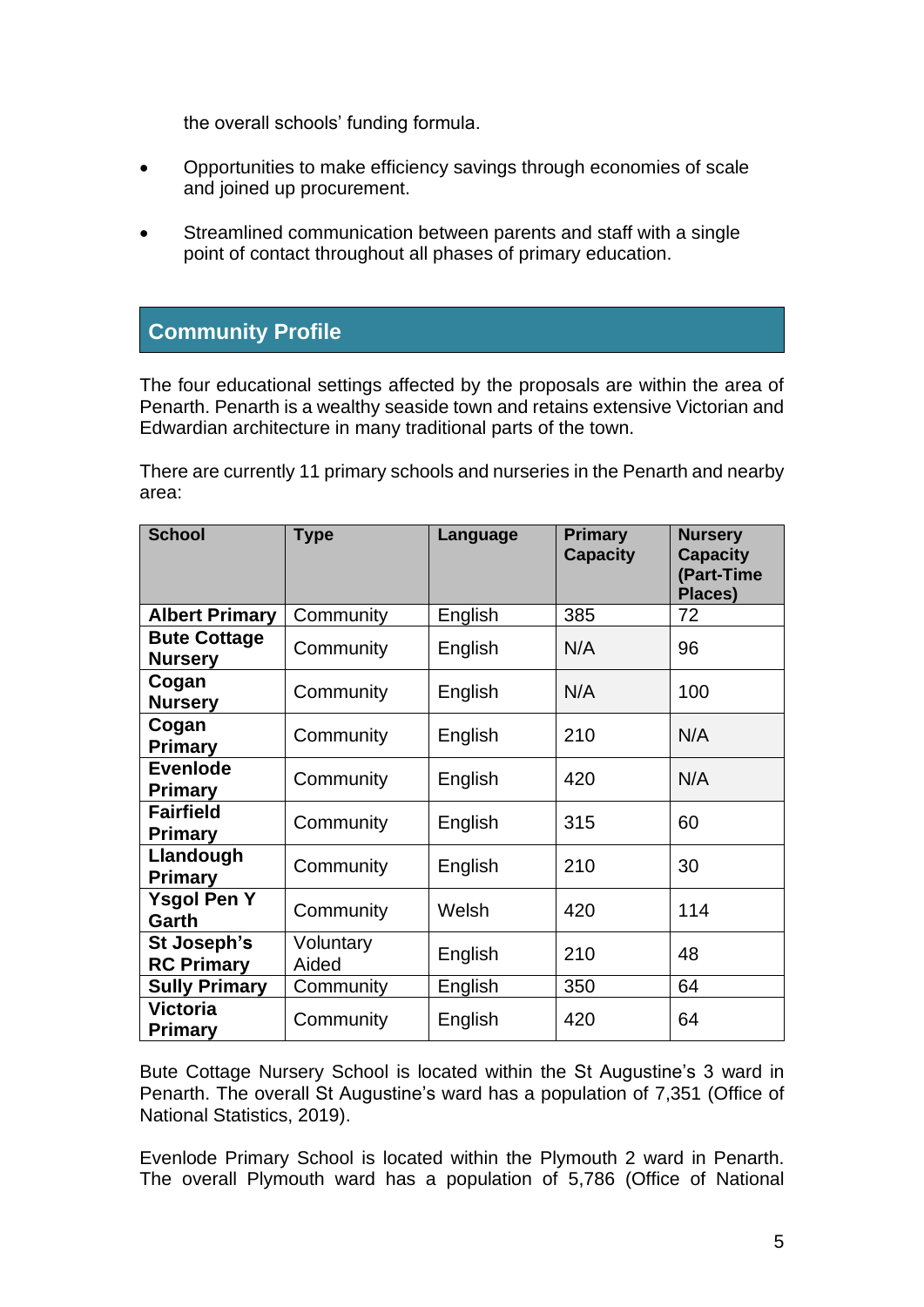the overall schools' funding formula.

- Opportunities to make efficiency savings through economies of scale and joined up procurement.
- Streamlined communication between parents and staff with a single point of contact throughout all phases of primary education.

#### <span id="page-4-0"></span>**Community Profile**

The four educational settings affected by the proposals are within the area of Penarth. Penarth is a wealthy seaside town and retains extensive Victorian and Edwardian architecture in many traditional parts of the town.

There are currently 11 primary schools and nurseries in the Penarth and nearby area:

| <b>School</b>                         | <b>Type</b>        | Language | <b>Primary</b><br><b>Capacity</b> | <b>Nursery</b><br><b>Capacity</b><br>(Part-Time<br>Places) |  |
|---------------------------------------|--------------------|----------|-----------------------------------|------------------------------------------------------------|--|
| <b>Albert Primary</b>                 | Community          | English  | 385                               | 72                                                         |  |
| <b>Bute Cottage</b><br><b>Nursery</b> | Community          | English  | N/A                               | 96                                                         |  |
| Cogan<br><b>Nursery</b>               | Community          | English  | N/A                               | 100                                                        |  |
| Cogan<br><b>Primary</b>               | Community          | English  | 210                               | N/A                                                        |  |
| <b>Evenlode</b><br>Primary            | Community          | English  | 420                               | N/A                                                        |  |
| <b>Fairfield</b><br>Primary           | Community          | English  | 315                               | 60                                                         |  |
| Llandough<br>Primary                  | Community          | English  | 210                               | 30                                                         |  |
| <b>Ysgol Pen Y</b><br>Garth           | Community          | Welsh    | 420                               | 114                                                        |  |
| St Joseph's<br><b>RC Primary</b>      | Voluntary<br>Aided |          | 210                               | 48                                                         |  |
| <b>Sully Primary</b>                  | Community          | English  | 350                               | 64                                                         |  |
| <b>Victoria</b><br><b>Primary</b>     | Community          |          | 420                               | 64                                                         |  |

Bute Cottage Nursery School is located within the St Augustine's 3 ward in Penarth. The overall St Augustine's ward has a population of 7,351 (Office of National Statistics, 2019).

Evenlode Primary School is located within the Plymouth 2 ward in Penarth. The overall Plymouth ward has a population of 5,786 (Office of National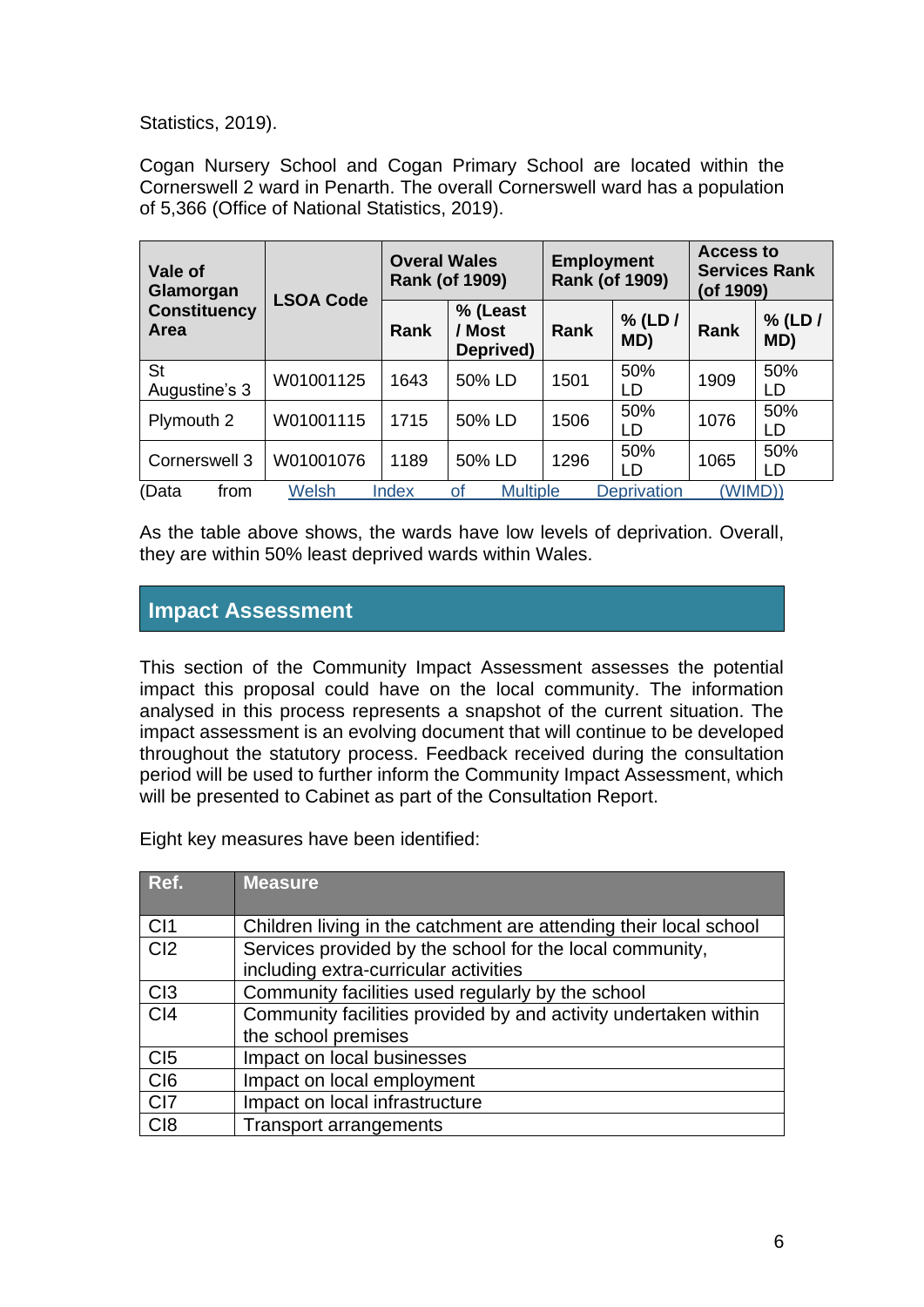Statistics, 2019).

Cogan Nursery School and Cogan Primary School are located within the Cornerswell 2 ward in Penarth. The overall Cornerswell ward has a population of 5,366 (Office of National Statistics, 2019).

| Vale of<br>Glamorgan        | <b>LSOA Code</b> | <b>Overal Wales</b><br><b>Rank (of 1909)</b> |                                 | <b>Employment</b><br><b>Rank (of 1909)</b> |                    | <b>Access to</b><br><b>Services Rank</b><br>(of 1909) |                  |
|-----------------------------|------------------|----------------------------------------------|---------------------------------|--------------------------------------------|--------------------|-------------------------------------------------------|------------------|
| <b>Constituency</b><br>Area |                  | <b>Rank</b>                                  | % (Least<br>/ Most<br>Deprived) | <b>Rank</b>                                | $%$ (LD /<br>MD)   | <b>Rank</b>                                           | $%$ (LD /<br>MD) |
| St<br>Augustine's 3         | W01001125        | 1643                                         | 50% LD                          | 1501                                       | 50%<br>LD          | 1909                                                  | 50%<br>LD        |
| Plymouth 2                  | W01001115        | 1715                                         | 50% LD                          | 1506                                       | 50%<br>LD          | 1076                                                  | 50%<br>LD        |
| Cornerswell 3               | W01001076        | 1189                                         | 50% LD                          | 1296                                       | 50%<br>LD          | 1065                                                  | 50%<br>LD        |
| (Data<br>from               | Welsh            | Index                                        | <b>Multiple</b><br>οf           |                                            | <b>Deprivation</b> | (WIMD))                                               |                  |

As the table above shows, the wards have low levels of deprivation. Overall, they are within 50% least deprived wards within Wales.

#### <span id="page-5-0"></span>**Impact Assessment**

This section of the Community Impact Assessment assesses the potential impact this proposal could have on the local community. The information analysed in this process represents a snapshot of the current situation. The impact assessment is an evolving document that will continue to be developed throughout the statutory process. Feedback received during the consultation period will be used to further inform the Community Impact Assessment, which will be presented to Cabinet as part of the Consultation Report.

Eight key measures have been identified:

| Ref.            | <b>Measure</b>                                                    |
|-----------------|-------------------------------------------------------------------|
| CI1             | Children living in the catchment are attending their local school |
| Cl <sub>2</sub> | Services provided by the school for the local community,          |
|                 | including extra-curricular activities                             |
| C <sub>13</sub> | Community facilities used regularly by the school                 |
| C <sub>14</sub> | Community facilities provided by and activity undertaken within   |
|                 | the school premises                                               |
| C <sub>I5</sub> | Impact on local businesses                                        |
| C <sub>I6</sub> | Impact on local employment                                        |
| CI7             | Impact on local infrastructure                                    |
| C <sub>18</sub> | <b>Transport arrangements</b>                                     |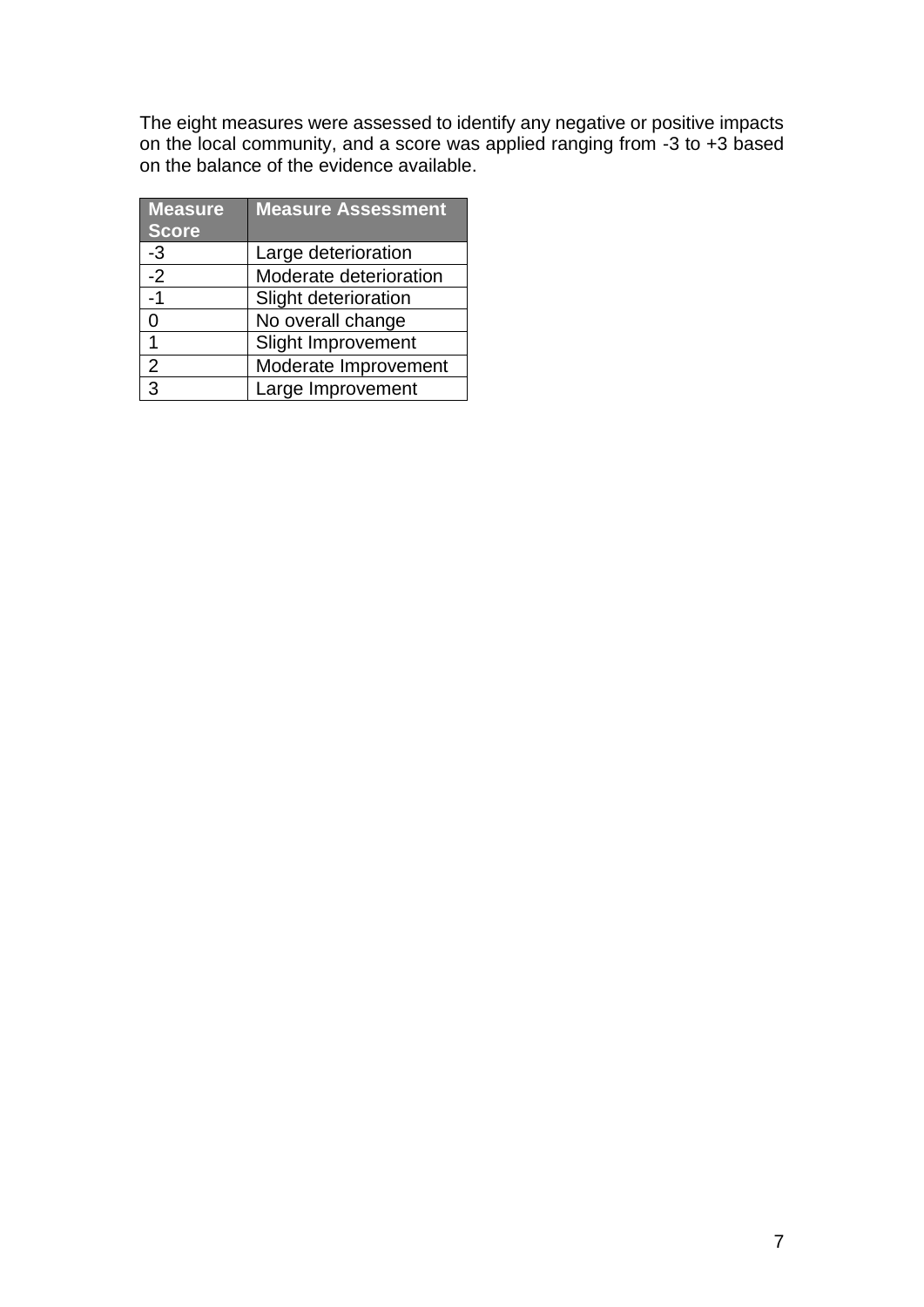The eight measures were assessed to identify any negative or positive impacts on the local community, and a score was applied ranging from -3 to +3 based on the balance of the evidence available.

| <b>Measure</b><br><b>Score</b> | <b>Measure Assessment</b> |
|--------------------------------|---------------------------|
|                                |                           |
| -3                             | Large deterioration       |
| $-2$                           | Moderate deterioration    |
| -1                             | Slight deterioration      |
|                                | No overall change         |
| 1                              | <b>Slight Improvement</b> |
| 2                              | Moderate Improvement      |
| $\mathbf{z}$                   | Large Improvement         |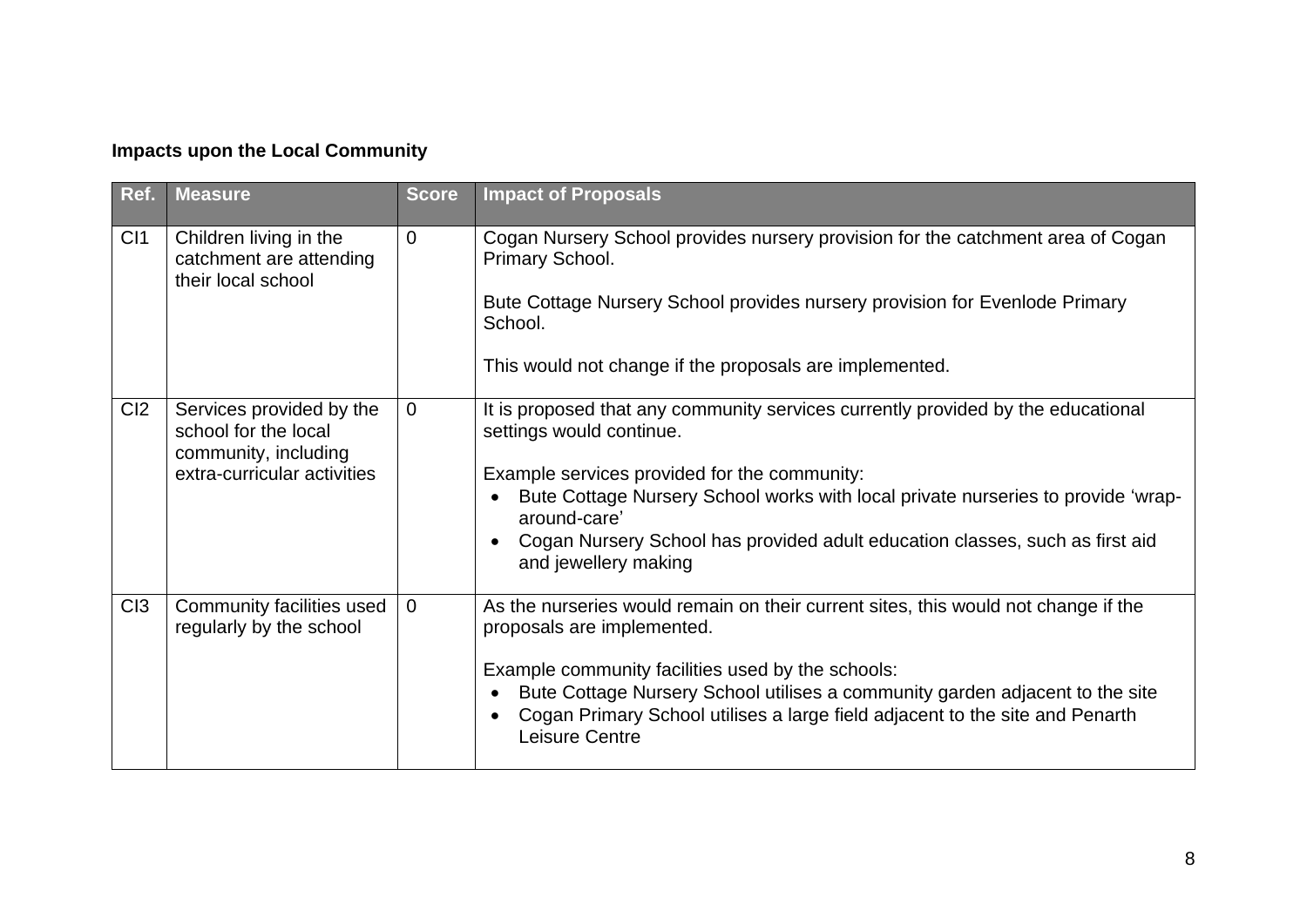### **Impacts upon the Local Community**

| Ref.            | <b>Measure</b>                                                                                          | <b>Score</b>   | <b>Impact of Proposals</b>                                                                                                                                                                                                                                                                                                                                               |
|-----------------|---------------------------------------------------------------------------------------------------------|----------------|--------------------------------------------------------------------------------------------------------------------------------------------------------------------------------------------------------------------------------------------------------------------------------------------------------------------------------------------------------------------------|
| C <sub>11</sub> | Children living in the<br>catchment are attending<br>their local school                                 | $\Omega$       | Cogan Nursery School provides nursery provision for the catchment area of Cogan<br>Primary School.<br>Bute Cottage Nursery School provides nursery provision for Evenlode Primary<br>School.<br>This would not change if the proposals are implemented.                                                                                                                  |
| Cl <sub>2</sub> | Services provided by the<br>school for the local<br>community, including<br>extra-curricular activities | $\Omega$       | It is proposed that any community services currently provided by the educational<br>settings would continue.<br>Example services provided for the community:<br>Bute Cottage Nursery School works with local private nurseries to provide 'wrap-<br>around-care'<br>Cogan Nursery School has provided adult education classes, such as first aid<br>and jewellery making |
| C <sub>13</sub> | Community facilities used<br>regularly by the school                                                    | $\overline{0}$ | As the nurseries would remain on their current sites, this would not change if the<br>proposals are implemented.<br>Example community facilities used by the schools:<br>Bute Cottage Nursery School utilises a community garden adjacent to the site<br>Cogan Primary School utilises a large field adjacent to the site and Penarth<br>Leisure Centre                  |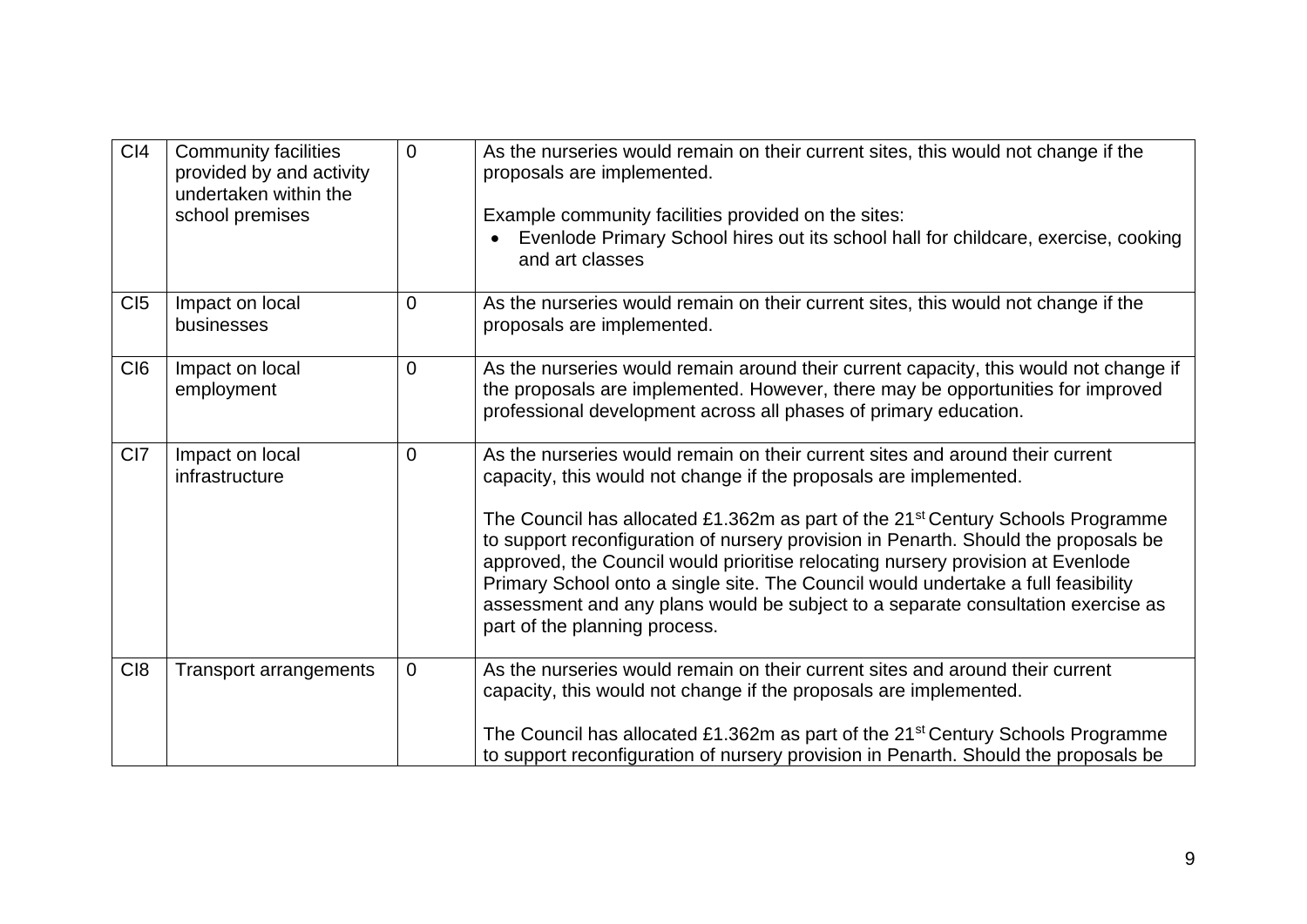| C <sub>14</sub> | <b>Community facilities</b><br>provided by and activity<br>undertaken within the<br>school premises | 0              | As the nurseries would remain on their current sites, this would not change if the<br>proposals are implemented.<br>Example community facilities provided on the sites:<br>Evenlode Primary School hires out its school hall for childcare, exercise, cooking<br>and art classes                                                                                                                                                                                                                                                                                                                                                      |
|-----------------|-----------------------------------------------------------------------------------------------------|----------------|---------------------------------------------------------------------------------------------------------------------------------------------------------------------------------------------------------------------------------------------------------------------------------------------------------------------------------------------------------------------------------------------------------------------------------------------------------------------------------------------------------------------------------------------------------------------------------------------------------------------------------------|
| CI5             | Impact on local<br>businesses                                                                       | 0              | As the nurseries would remain on their current sites, this would not change if the<br>proposals are implemented.                                                                                                                                                                                                                                                                                                                                                                                                                                                                                                                      |
| C <sub>I6</sub> | Impact on local<br>employment                                                                       | $\Omega$       | As the nurseries would remain around their current capacity, this would not change if<br>the proposals are implemented. However, there may be opportunities for improved<br>professional development across all phases of primary education.                                                                                                                                                                                                                                                                                                                                                                                          |
| CI <sub>7</sub> | Impact on local<br>infrastructure                                                                   | 0              | As the nurseries would remain on their current sites and around their current<br>capacity, this would not change if the proposals are implemented.<br>The Council has allocated £1.362m as part of the 21 <sup>st</sup> Century Schools Programme<br>to support reconfiguration of nursery provision in Penarth. Should the proposals be<br>approved, the Council would prioritise relocating nursery provision at Evenlode<br>Primary School onto a single site. The Council would undertake a full feasibility<br>assessment and any plans would be subject to a separate consultation exercise as<br>part of the planning process. |
| C <sub>18</sub> | <b>Transport arrangements</b>                                                                       | $\overline{0}$ | As the nurseries would remain on their current sites and around their current<br>capacity, this would not change if the proposals are implemented.<br>The Council has allocated £1.362m as part of the 21 <sup>st</sup> Century Schools Programme<br>to support reconfiguration of nursery provision in Penarth. Should the proposals be                                                                                                                                                                                                                                                                                              |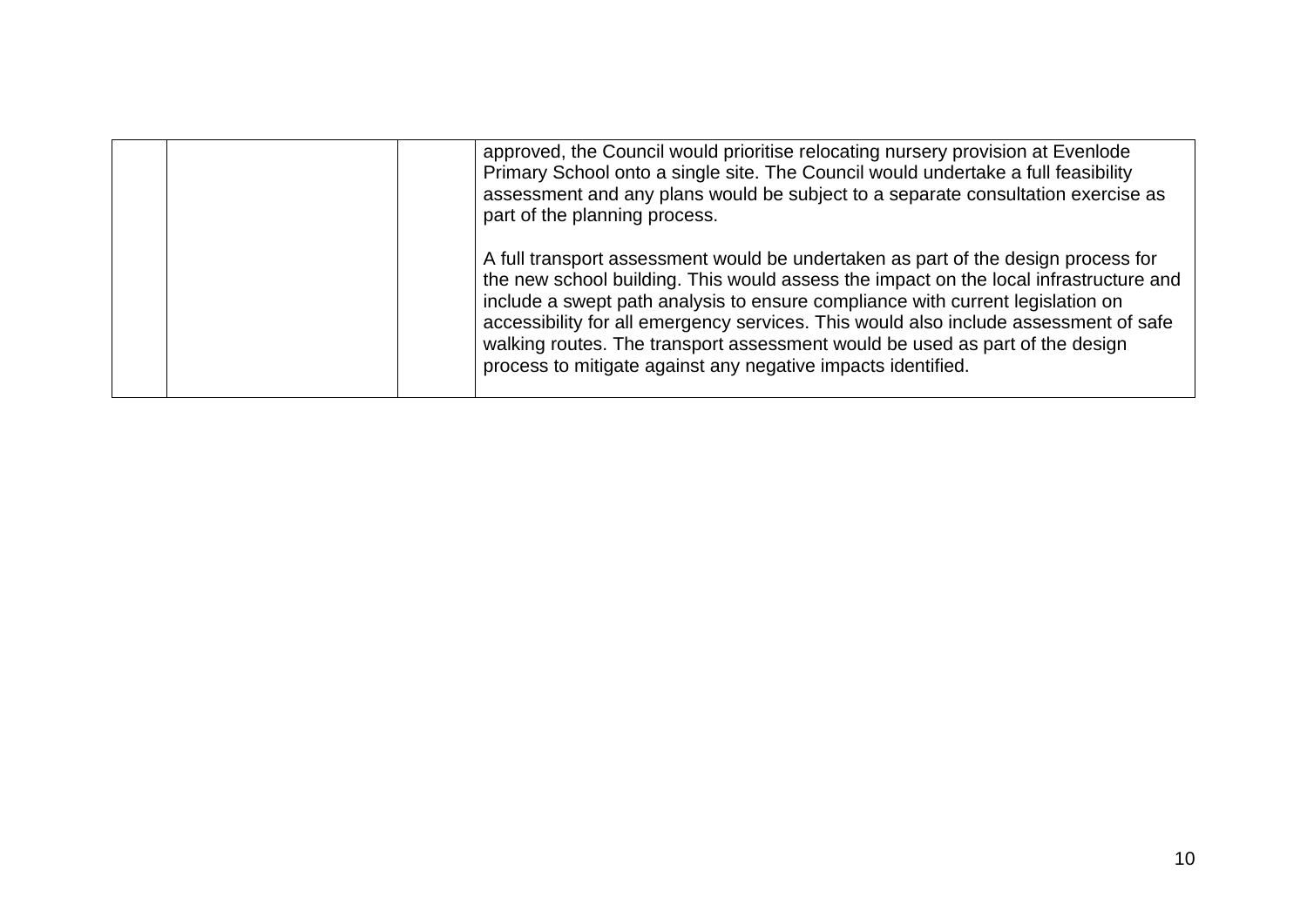| approved, the Council would prioritise relocating nursery provision at Evenlode<br>Primary School onto a single site. The Council would undertake a full feasibility<br>assessment and any plans would be subject to a separate consultation exercise as<br>part of the planning process.                                                                                                                                                                                                            |
|------------------------------------------------------------------------------------------------------------------------------------------------------------------------------------------------------------------------------------------------------------------------------------------------------------------------------------------------------------------------------------------------------------------------------------------------------------------------------------------------------|
| A full transport assessment would be undertaken as part of the design process for<br>the new school building. This would assess the impact on the local infrastructure and<br>include a swept path analysis to ensure compliance with current legislation on<br>accessibility for all emergency services. This would also include assessment of safe<br>walking routes. The transport assessment would be used as part of the design<br>process to mitigate against any negative impacts identified. |